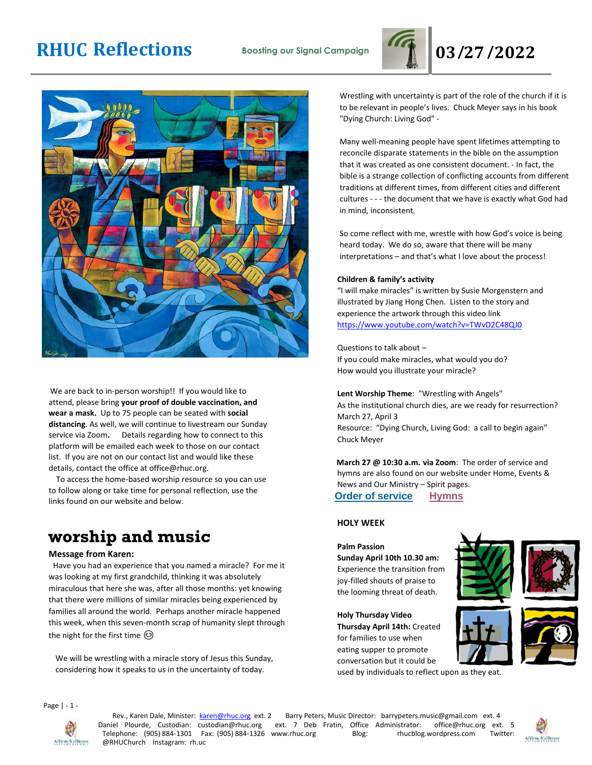# **RHUC Reflections Boosting our Signal Campaign 03/27/2022**





We are back to in-person worship!! If you would like to attend, please bring **your proof of double vaccination, and wear a mask.** Up to 75 people can be seated with **social distancing**. As well, we will continue to livestream our Sunday service via Zoom**.** Details regarding how to connect to this platform will be emailed each week to those on our contact list. If you are not on our contact list and would like these details, contact the office at office@rhuc.org.

 To access the home-based worship resource so you can use to follow along or take time for personal reflection, use the links found on our website and below.

## **worship and music**

### **Message from Karen:**

Have you had an experience that you named a miracle? For me it was looking at my first grandchild, thinking it was absolutely miraculous that here she was, after all those months: yet knowing that there were millions of similar miracles being experienced by families all around the world. Perhaps another miracle happened this week, when this seven-month scrap of humanity slept through the night for the first time  $\odot$ 

We will be wrestling with a miracle story of Jesus this Sunday, considering how it speaks to us in the uncertainty of today.

Wrestling with uncertainty is part of the role of the church if it is to be relevant in people's lives. Chuck Meyer says in his book "Dying Church: Living God" -

Many well-meaning people have spent lifetimes attempting to reconcile disparate statements in the bible on the assumption that it was created as one consistent document. - In fact, the bible is a strange collection of conflicting accounts from different traditions at different times, from different cities and different cultures - - - the document that we have is exactly what God had in mind, inconsistent.

So come reflect with me, wrestle with how God's voice is being heard today. We do so, aware that there will be many interpretations – and that's what I love about the process!

### **Children & family's activity**

"I will make miracles" is written by Susie Morgenstern and illustrated by Jiang Hong Chen. Listen to the story and experience the artwork through this video link <https://www.youtube.com/watch?v=TWvD2C48QJ0>

Questions to talk about – If you could make miracles, what would you do? How would you illustrate your miracle?

**Lent Worship Theme**: "Wrestling with Angels" As the institutional church dies, are we ready for resurrection? March 27, April 3 Resource: "Dying Church, Living God: a call to begin again" Chuck Meyer

**March 27 @ 10:30 a.m. via Zoom**: The order of service and hymns are also found on our website under Home, Events & News and Our Ministry – Spirit pages. **Order of [service](http://rhuc.org/March%20%2027%20OofS.pdf) [Hymns](http://rhuc.org/Hymns%20for%202022%2003%2027%20rev.pdf)**

### **HOLY WEEK**

### **Palm Passion**

**Sunday April 10th 10.30 am:** Experience the transition from joy-filled shouts of praise to the looming threat of death.

**Holy Thursday Video Thursday April 14th:** Created for families to use when eating supper to promote conversation but it could be

used by individuals to reflect upon as they eat.







Page | - 1 -



Rev., Karen Dale, Minister: karen@rhuc.org ext. 2 Barry Peters, Music Director: barrypeters.music@gmail.com ext. 4 Daniel Plourde, Custodian: custodian@rhuc.org ext. 7 Deb Fratin, Office Administrator: office@rhuc.org ext. 5<br>Telephone: (905) 884-1301 Fax: (905) 884-1326 www.rhuc.org Blog: rhucblog.wordpress.com Twitter: Telephone: (905) 884-1301 Fax: (905) 884-1326 www.rhuc.org @RHUChurch Instagram: rh.uc

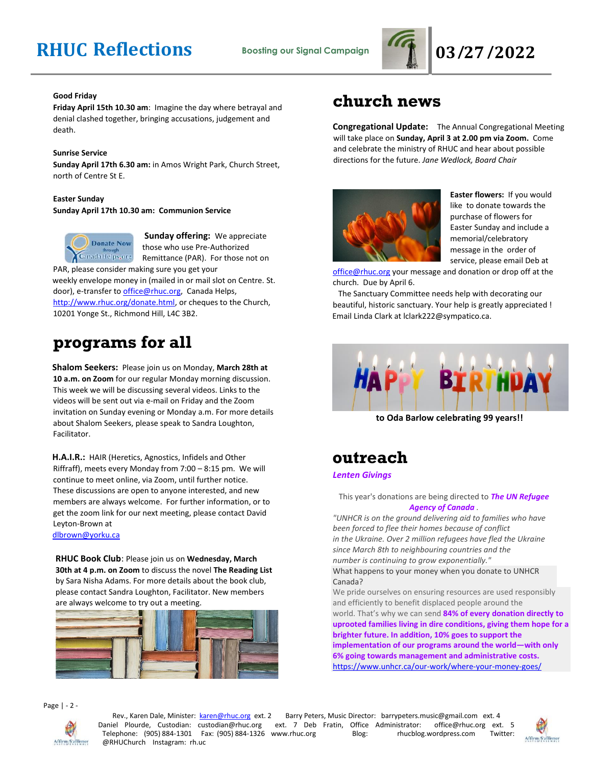

### **Good Friday**

**Friday April 15th 10.30 am**: Imagine the day where betrayal and denial clashed together, bringing accusations, judgement and death.

### **Sunrise Service**

**Sunday April 17th 6.30 am:** in Amos Wright Park, Church Street, north of Centre St E.

### **Easter Sunday Sunday April 17th 10.30 am: Communion Service**



**Sunday offering:** We appreciate those who use Pre-Authorized Remittance (PAR). For those not on

PAR, please consider making sure you get your weekly envelope money in (mailed in or mail slot on Centre. St. door), e-transfer to office@rhuc.org, Canada Helps, [http://www.rhuc.org/donate.html,](http://www.rhuc.org/donate.html) or cheques to the Church, 10201 Yonge St., Richmond Hill, L4C 3B2.

## **programs for all**

**Shalom Seekers:** Please join us on Monday, **March 28th at 10 a.m. on Zoom** for our regular Monday morning discussion. This week we will be discussing several videos. Links to the videos will be sent out via e-mail on Friday and the Zoom invitation on Sunday evening or Monday a.m. For more details about Shalom Seekers, please speak to Sandra Loughton, Facilitator.

**H.A.I.R.:** HAIR (Heretics, Agnostics, Infidels and Other Riffraff), meets every Monday from 7:00 – 8:15 pm. We will continue to meet online, via Zoom, until further notice. These discussions are open to anyone interested, and new members are always welcome. For further information, or to get the zoom link for our next meeting, please contact David Leyton-Brown at dlbrown@yorku.ca

**RHUC Book Club**: Please join us on **Wednesday, March 30th at 4 p.m. on Zoom** to discuss the novel **The Reading List** by Sara Nisha Adams. For more details about the book club, please contact Sandra Loughton, Facilitator. New members

are always welcome to try out a meeting.

## **church news**

**Congregational Update:** The Annual Congregational Meeting will take place on **Sunday, April 3 at 2.00 pm via Zoom.** Come and celebrate the ministry of RHUC and hear about possible directions for the future. *Jane Wedlock, Board Chair* 



**Easter flowers:** If you would like to donate towards the purchase of flowers for Easter Sunday and include a memorial/celebratory message in the order of service, please email Deb at

[office@rhuc.org](mailto:office@rhuc.org) your message and donation or drop off at the church. Due by April 6.

 The Sanctuary Committee needs help with decorating our beautiful, historic sanctuary. Your help is greatly appreciated ! Email Linda Clark at lclark222@sympatico.ca.



**to Oda Barlow celebrating 99 years!!**

### **outreach**

*Lenten Givings*

### This year's donations are being directed to *The UN Refugee Agency of Canada .*

*"UNHCR is on the ground delivering aid to families who have been forced to flee their homes because of conflict in the Ukraine. Over 2 million refugees have fled the Ukraine since March 8th to neighbouring countries and the number is continuing to grow exponentially."*

What happens to your money when you donate to UNHCR Canada?

We pride ourselves on ensuring resources are used responsibly and efficiently to benefit displaced people around the world. That's why we can send **84% of every donation directly to uprooted families living in dire conditions, giving them hope for a brighter future. In addition, 10% goes to support the implementation of our programs around the world—with only 6% going towards management and administrative costs.** <https://www.unhcr.ca/our-work/where-your-money-goes/>

Page | - 2 -



Rev., Karen Dale, Minister: **karen@rhuc.org ext. 2** Barry Peters, Music Director: barrypeters.music@gmail.com ext. 4<br>iel Plourde, Custodian: custodian@rhuc.org ext. 7 Deb Fratin, Office Administrator: office@rhuc.org ext. Daniel Plourde, Custodian: custodian@rhuc.org ext. 7 Deb Fratin, Office Administrator: office@rhuc.org ext. 5 Telephone: (905) 884-1301 Fax: (905) 884-1326 www.rhuc.org Blog: rhucblog.wordpress.com Twitter: @RHUChurch Instagram: rh.uc

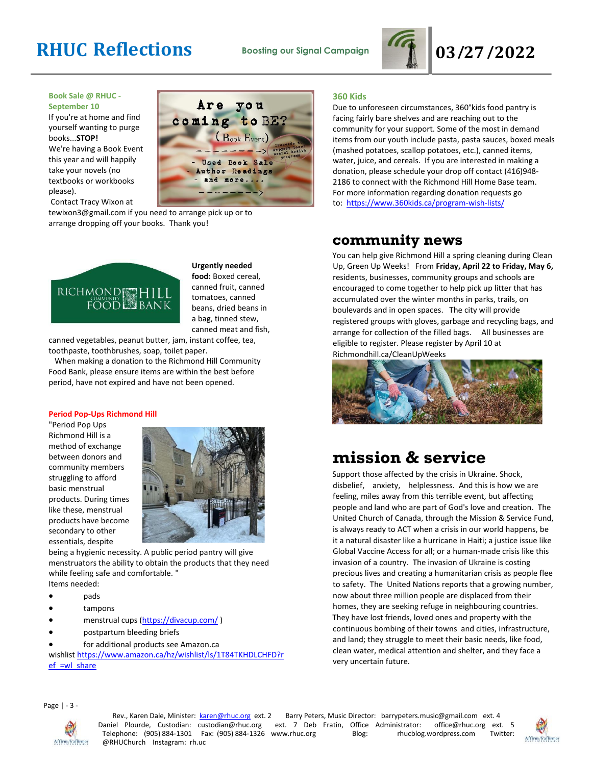# **RHUC Reflections Boosting our Signal Campaign 03/27/2022**



### **Book Sale @ RHUC - September 10**

If you're at home and find yourself wanting to purge books...**STOP!** We're having a Book Event this year and will happily take your novels (no textbooks or workbooks please).

Contact Tracy Wixon at



tewixon3@gmail.com if you need to arrange pick up or to arrange dropping off your books. Thank you!



**Urgently needed food:** Boxed cereal, canned fruit, canned tomatoes, canned beans, dried beans in a bag, tinned stew, canned meat and fish,

canned vegetables, peanut butter, jam, instant coffee, tea, toothpaste, toothbrushes, soap, toilet paper.

 When making a donation to the Richmond Hill Community Food Bank, please ensure items are within the best before period, have not expired and have not been opened.

### **Period Pop-Ups Richmond Hill**

"Period Pop Ups Richmond Hill is a method of exchange between donors and community members struggling to afford basic menstrual products. During times like these, menstrual products have become secondary to other essentials, despite



being a hygienic necessity. A public period pantry will give menstruators the ability to obtain the products that they need while feeling safe and comfortable. "

- Items needed:
- pads
- tampons
- menstrual cups [\(https://divacup.com/](https://divacup.com/))
- postpartum bleeding briefs
- for additional products see Amazon.ca

wishlist [https://www.amazon.ca/hz/wishlist/ls/1T84TKHDLCHFD?r](https://www.amazon.ca/hz/wishlist/ls/1T84TKHDLCHFD?ref_=wl_share) [ef\\_=wl\\_share](https://www.amazon.ca/hz/wishlist/ls/1T84TKHDLCHFD?ref_=wl_share)

### **360 Kids**

Due to unforeseen circumstances, 360°kids food pantry is facing fairly bare shelves and are reaching out to the community for your support. Some of the most in demand items from our youth include pasta, pasta sauces, boxed meals (mashed potatoes, scallop potatoes, etc.), canned items, water, juice, and cereals. If you are interested in making a donation, please schedule your drop off contact (416)948- 2186 to connect with the Richmond Hill Home Base team. For more information regarding donation requests go to: <https://www.360kids.ca/program-wish-lists/>

### **community news**

You can help give Richmond Hill a spring cleaning during Clean Up, Green Up Weeks! From **Friday, April 22 to Friday, May 6,** residents, businesses, community groups and schools are encouraged to come together to help pick up litter that has accumulated over the winter months in parks, trails, on boulevards and in open spaces. The city will provide registered groups with gloves, garbage and recycling bags, and arrange for collection of the filled bags. All businesses are eligible to register. Please register by April 10 at Richmondhill.ca/CleanUpWeeks



## **mission & service**

Support those affected by the crisis in Ukraine. Shock, disbelief, anxiety, helplessness. And this is how we are feeling, miles away from this terrible event, but affecting people and land who are part of God's love and creation. The United Church of Canada, through the Mission & Service Fund, is always ready to ACT when a crisis in our world happens, be it a natural disaster like a hurricane in Haiti; a justice issue like Global Vaccine Access for all; or a human-made crisis like this invasion of a country. The invasion of Ukraine is costing precious lives and creating a humanitarian crisis as people flee to safety. The United Nations reports that a growing number, now about three million people are displaced from their homes, they are seeking refuge in neighbouring countries. They have lost friends, loved ones and property with the continuous bombing of their towns and cities, infrastructure, and land; they struggle to meet their basic needs, like food, clean water, medical attention and shelter, and they face a very uncertain future.

Page | - 3 -



Rev., Karen Dale, Minister: **karen@rhuc.org ext. 2** Barry Peters, Music Director: barrypeters.music@gmail.com ext. 4<br>iel Plourde, Custodian: custodian@rhuc.org ext. 7 Deb Fratin, Office Administrator: office@rhuc.org ext. Daniel Plourde, Custodian: custodian@rhuc.org ext. 7 Deb Fratin, Office Administrator: office@rhuc.org ext. 5 Telephone: (905) 884-1301 Fax: (905) 884-1326 www.rhuc.org Blog: rhucblog.wordpress.com Twitter: @RHUChurch Instagram: rh.uc